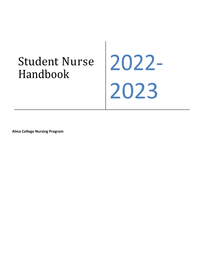# Student Nurse Handbook

2022-2023

**Alma College Nursing Program**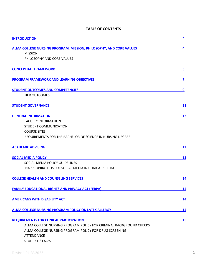| <b>INTRODUCTION</b>                                                | 4  |
|--------------------------------------------------------------------|----|
| ALMA COLLEGE NURSING PROGRAM, MISSION, PHILOSOPHY, AND CORE VALUES | 4  |
| <b>MISSION</b>                                                     |    |
| PHILOSOPHY AND CORE VALUES                                         |    |
| <b>CONCEPTUAL FRAMEWORK</b>                                        | 5  |
| <b>PROGRAM FRAMEWORK AND LEARNING OBJECTIVES</b>                   | 7  |
| <b>STUDENT OUTCOMES AND COMPETENCIES</b>                           | 9  |
| <b>TIER OUTCOMES</b>                                               |    |
| <b>STUDENT GOVERNANCE</b>                                          | 11 |
| <b>GENERAL INFORMATION</b>                                         | 12 |
| <b>FACULTY INFORMATION</b>                                         |    |
| STUDENT COMMUNICATION                                              |    |
| <b>COURSE SITES</b>                                                |    |
| REQUIREMENTS FOR THE BACHELOR OF SCIENCE IN NURSING DEGREE         |    |
| <b>ACADEMIC ADVISING</b>                                           | 12 |
| <b>SOCIAL MEDIA POLICY</b>                                         | 12 |
| SOCIAL MEDIA POLICY GUIDELINES                                     |    |
| INAPPROPRIATE USE OF SOCIAL MEDIA IN CLINICAL SETTINGS             |    |
| <b>COLLEGE HEALTH AND COUNSELING SERVICES</b>                      | 14 |
| <b>FAMILY EDUCATIONAL RIGHTS AND PRIVACY ACT (FERPA)</b>           | 14 |
| <b>AMERICANS WITH DISABILITY ACT</b>                               | 14 |
| ALMA COLLEGE NURSING PROGRAM POLICY ON LATEX ALLERGY               | 14 |
| <b>REQUIREMENTS FOR CLINICAL PARTICIPATION</b>                     | 15 |
| ALMA COLLEGE NURSING PROGRAM POLICY FOR CRIMINAL BACKGROUND CHECKS |    |
| ALMA COLLEGE NURSING PROGRAM POLICY FOR DRUG SCREENING             |    |
| ATTENDANCE                                                         |    |
| STUDENTS' FAQ'S                                                    |    |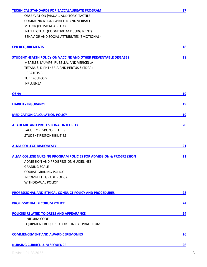| <b>TECHNICAL STANDARDS FOR BACCALAUREATE PROGRAM</b>                         | 17 |
|------------------------------------------------------------------------------|----|
| OBSERVATION (VISUAL, AUDITORY, TACTILE)                                      |    |
| COMMUNICATION (WRITTEN AND VERBAL)                                           |    |
| MOTOR (PHYSICAL ABILITY)                                                     |    |
| INTELLECTUAL (COGNITIVE AND JUDGMENT)                                        |    |
| BEHAVIOR AND SOCIAL ATTRIBUTES (EMOTIONAL)                                   |    |
| <b>CPR REQUIREMENTS</b>                                                      | 18 |
|                                                                              |    |
| STUDENT HEALTH POLICY ON VACCINE AND OTHER PREVENTABLE DISEASES              | 18 |
| MEASLES, MUMPS, RUBELLA, AND VERICELLA                                       |    |
| TETANUS, DIPHTHERIA AND PERTUSIS (TDAP)                                      |    |
| <b>HEPATITIS B</b>                                                           |    |
| <b>TUBERCULOSIS</b>                                                          |    |
| <b>INFLUENZA</b>                                                             |    |
| <b>OSHA</b>                                                                  | 19 |
|                                                                              |    |
| <b>LIABILITY INSURANCE</b>                                                   | 19 |
| <b>MEDICATION CALCULATION POLICY</b>                                         | 19 |
| <b>ACADEMIC AND PROFESSIONAL INTEGRITY</b>                                   | 20 |
| <b>FACULTY RESPONSIBILITIES</b>                                              |    |
| <b>STUDENT RESPONSIBILITIES</b>                                              |    |
| <b>ALMA COLLEGE DISHONESTY</b>                                               | 21 |
| <b>ALMA COLLEGE NURSING PROGRAM POLICIES FOR ADMISSION &amp; PROGRESSION</b> | 21 |
| ADMISSION AND PROGRESSION GUIDELINES                                         |    |
| <b>GRADING SCALE</b>                                                         |    |
| <b>COURSE GRADING POLICY</b>                                                 |    |
| INCOMPLETE GRADE POLICY                                                      |    |
| <b>WITHDRAWAL POLICY</b>                                                     |    |
| PROFESSIONAL AND ETHICAL CONDUCT POLICY AND PROCEDURES                       | 22 |
|                                                                              |    |
| PROFESSIONAL DECORUM POLICY                                                  | 24 |
| POLICIES RELATED TO DRESS AND APPEARANCE                                     | 24 |
| <b>UNIFORM CODE</b>                                                          |    |
| EQUIPMENT REQUIRED FOR CLINICAL PRACTICUM                                    |    |
| <b>COMMENCEMENT AND AWARD CEREMONIES</b>                                     | 26 |
| <b>NURSING CURRICULUM SEQUENCE</b>                                           | 26 |
|                                                                              |    |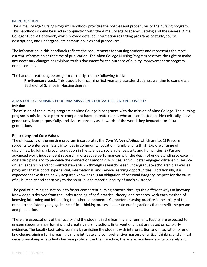#### <span id="page-3-0"></span>INTRODUCTION

The Alma College Nursing Program Handbook provides the policies and procedures to the nursing program. This handbook should be used in conjunction with the Alma College Academic Catalog and the General Alma College Student Handbook, which provide detailed information regarding programs of study, course descriptions, and undergraduate campus policies and procedures.

The information in this handbook reflects the requirements for nursing students and represents the most current information at the time of publication. The Alma College Nursing Program reserves the right to make any necessary changes or revisions to this document for the purpose of quality improvement or program enhancement.

The baccalaureate degree program currently has the following track:

**Pre-licensure track:** This track is for incoming first year and transfer students, wanting to complete a Bachelor of Science in Nursing degree.

## <span id="page-3-1"></span>ALMA COLLEGE NURSING PROGRAM MISSSION, CORE VALUES, AND PHILOSOPHY

#### **Mission**

The mission of the nursing program at Alma College is congruent with the mission of Alma College. The nursing program's mission is to prepare competent baccalaureate nurses who are committed to think critically, serve generously, lead purposefully, and live responsibly as stewards of the world they bequeath for future generations.

#### **Philosophy and Core Values**

The philosophy of the nursing program incorporates the *Core Values of Alma* which are to: 1) Prepare students to enter seamlessly into lives in community, vocation, family and faith; 2) Explore a range of disciplines, building a broad foundation in the sciences, social sciences, arts and humanities; 3) Pursue advanced work, independent research and creative performances with the depth of understanding to excel in one's discipline and to perceive the connections among disciplines; and 4) Foster engaged citizenship, service driven leadership and committed stewardship through research-based undergraduate scholarship as well as programs that support experiential, international, and service learning opportunities. Additionally, it is expected that with the newly acquired knowledge is an obligation of personal integrity, respect for the value of all humanity and sensitivity to the spiritual and material beauty of one's existence.

The goal of nursing education is to foster competent nursing practice through the different ways of knowing. Knowledge is derived from the understanding of self, practice, theory, and research, with each method of knowing informing and influencing the other components. Competent nursing practice is the ability of the nurse to consistently engage in the critical thinking process to create nursing actions that benefit the person and population.

There are expectations of the faculty and the student in the learning environment. Faculty are expected to engage students in performing and creating nursing actions (interventions) that are based on scholarly evidence. The faculty facilitates learning by assisting the student with interpretation and integration of prior knowledge, aiming for increasingly more intricate and comprehensive mastery of critical thinking and clinical decision-making. As students become proficient in their practice, there is an academic ability to safely and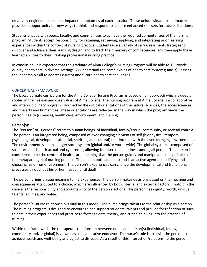creatively engineer actions that impact the outcomes of each situation. These unique situations ultimately provide an opportunity for new ways to think and respond to acquire enhanced skill sets for future situations.

Students engage with peers, faculty, and communities to achieve the required competencies of the nursing program. Students accept responsibility for retaining, retrieving, applying, and integrating prior learning experiences within the context of nursing practice. Students use a variety of self-assessment strategies to discover and advance their learning design, and to track their mastery of competencies, and then apply these learned abilities to their life-long professional nursing practice.

In conclusion, it is expected that the graduate of Alma College's Nursing Program will be able to 1) Provide quality health care in diverse settings; 2) Understand the complexities of health care systems; and 3) Possess the leadership skill to address current and future health care challenges.

## <span id="page-4-0"></span>CONCEPTUAL FRAMEWORK

The baccalaureate curriculum for the Alma College Nursing Program is based on an approach which is deeply rooted in the mission and core values of Alma College. The nursing program at Alma College is a collaborative and interdisciplinary program informed by the critical orientations of the natural sciences, the social sciences, and the arts and humanities. These orientations are reflected in the way in which the program views the person, health (dis-ease), health care, environment, and nursing.

# **Person(s):**

The "Person" or "Persons" refers to human beings, of individual, family/group, community, or societal context. The person is an integrated being, composed of ever-changing elements of self (biophysical, temporal, psychological, developmental, social, spiritual, and cultural) that interact with the ever-changing environment. The environment is set in a larger social system (global and/or world-wide). The global system is composed of structure that is both actual and cybernetic, allowing for interconnectedness among all people. The person is considered to be the center of health care, meaning that the person guides and manipulates the variables of the metaparadigm of nursing practice. The person both adapts to and is an active agent in modifying and choosing his or her environment. The person's experiences can change the developmental and transitional processes throughout his or her lifespan until death.

The person brings unique meaning to life experiences. The person makes decisions based on the meaning and consequences attributed to a choice, which are influenced by both internal and external factors. Implicit in the choice is the responsibility and accountability of the person's actions. The person has dignity, worth, unique talents, abilities, and value.

The person(s)-nurse relationship is vital in this model. The nurse brings talents to the relationship as a person. The nursing program is designed to encourage and support students' talents and provide for reflection of such talents in their experiences and practice to foster talents, theory, and critical thinking into the practice of nursing.

Within the framework, the therapeutic relationship between nurse and person(s) (individual, family, community and/or global) is viewed as a collaborative endeavor. The nurse's role is to assist the person to achieve health and well-being and adjust to dis-ease. As a result of this interaction/relationship the person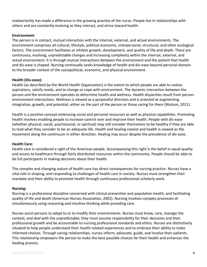inadvertently has made a difference in the growing practice of the nurse. People live in relationships with others and are constantly evolving as they interact, and strive toward health.

## **Environment:**

The person is in contact, mutual interaction with the internal, external, and actual environments. The environment comprises all cultural, lifestyle, political-economic, interpersonal, structural, and other ecological factors. The environment facilitates or inhibits growth, development, and quality of life and death. There are continuous, evolving, unpredictable changes and increasing complexity within the internal, external, and actual environment. It is through mutual interactions between the environment and the patient that health and dis-ease is shaped. Nursing continually seeks knowledge of health and dis-ease beyond personal domain to the broader context of the sociopolitical, economic, and physical environment.

# **Health (Dis-ease):**

Health (as described by the World Health Organization) is the extent to which people are able to realize aspirations, satisfy needs, and to change or cope with environment. The dynamic interaction between the person and the environment operates to determine health and wellness. Health disparities result from personenvironment interactions. Wellness is viewed as a purposeful direction and is oriented at augmenting integration, growth, and potential, either on the part of the person or those caring for them (Watson, 2011).

Health is a positive concept embracing social and personal resources as well as physical capabilities. Promoting health involves enabling people to increase control over and improve their health. People with dis-ease (whether physical, social, psychosocial, or spiritual) may still consider themselves to be healthy if they are able to lead what they consider to be an adequate life. Health and healing coexist and health is viewed as the movement along the continuum in either direction. Healing may occur despite the prevalence of dis-ease.

## **Health Care:**

Health care is considered a right of the American people. Accompanying this right is the belief in equal quality and access to healthcare through fairly distributed resources within the community. People should be able to be full participants in making decisions about their health.

The complex and changing nature of health care has direct consequences for nursing practice. Nurses have a vital role in shaping, and responding to challenges of health care in society. Nurses must strengthen their mandate and their ability to promote health through continuous professional scholarly work.

## **Nursing:**

Nursing is a professional discipline concerned with clinical prevention and population health, and facilitating quality of life and death (American Nurses Association, 2002). Nursing involves complex processes of simultaneously using reasoning and intuitive thinking while providing care.

Nurses assist persons to adapt to or to modify their environments. Nurses must know, care, manage the context, and deal with the unpredictable; they must assume responsibility for their decisions and their professional growth and be accountable to nursing professional standards and ethics. Nurses are distinctively situated to help people understand their health-related experiences and to embrace their ability to make informed choices. Through caring-relationships, nurses inform, advocate, guide, and involve their patients. This relationship empowers the person to make the best possible choices for their health and enhances the healing process.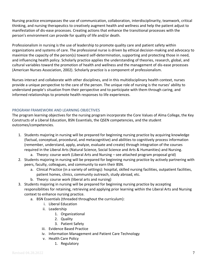Nursing practice encompasses the use of communication, collaboration, interdisciplinarity, teamwork, critical thinking, and nursing therapeutics to creatively augment health and wellness and help the patient adjust to manifestation of dis-ease processes. Creating actions that enhance the transitional processes with the person's environment can provide for quality of life and/or death.

Professionalism in nursing is the use of leadership to promote quality care and patient safety within organizations and systems of care. The professional nurse is driven by ethical decision-making and advocacy to maximize the capacity of the person(s) toward self-determination, supporting and protecting those in need, and influencing health policy. Scholarly practice applies the understanding of theories, research, global, and cultural variables toward the promotion of health and wellness and the management of dis-ease processes (American Nurses Association, 2002). Scholarly practice is a component of professionalism.

Nurses interact and collaborate with other disciplines, and in this multidisciplinary health context, nurses provide a unique perspective to the care of the person. The unique role of nursing is the nurses' ability to understand people's situation from their perspective and to participate with them through caring, and informed relationships to promote health responses to life experiences.

## <span id="page-6-0"></span>PROGRAM FRAMEWORK AND LEARNING OBJECTIVES

The program learning objectives for the nursing program incorporate the Core Values of Alma College, the Key Constructs of a Liberal Education, BSN Essentials, the QSEN competencies, and the student outcomes/competencies.

- 1. Students majoring in nursing will be prepared for beginning nursing practice by acquiring knowledge (factual, conceptual, procedural, and metacognitive) and abilities to cognitively process information (remember, understand, apply, analyze, evaluate and create) through integration of the courses required in the Liberal Arts (Natural Science, Social Science and Arts & Humanities) and Nursing.
	- a. Theory: course work (Liberal Arts and Nursing see attached program proposal grid)
- 2. Students majoring in nursing will be prepared for beginning nursing practice by actively partnering with peers, faculty, colleagues, and community to earn their BSN.
	- a. Clinical Practice (in a variety of settings): hospital, skilled nursing facilities, outpatient facilities, patient homes, clinics, community outreach, study abroad, etc.
	- b. Theory: course work (liberal arts and nursing)
- 3. Students majoring in nursing will be prepared for beginning nursing practice by accepting responsibilities for retaining, retrieving and applying prior learning within the Liberal Arts and Nursing context to enhance nursing practice.
	- a. BSN Essentials (threaded throughout the curriculum):
		- i. Liberal Education
		- ii. Leadership
			- 1. Organizational
			- 2. Quality
			- 3. Patient Safety
		- iii. Evidence Based Practice
		- iv. Information Management and Patient Care Technology
		- v. Health Care Policy
			- 1. Regulatory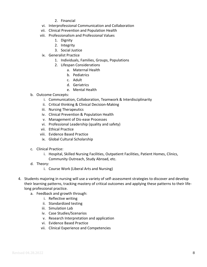- 2. Financial
- vi. Interprofessional Communication and Collaboration
- vii. Clinical Prevention and Population Health
- viii. Professionalism and Professional Values
	- 1. Dignity
	- 2. Integrity
	- 3. Social Justice
- ix. Generalist Practice
	- 1. Individuals, Families, Groups, Populations
	- 2. Lifespan Considerations
		- a. Maternal Health
		- b. Pediatrics
		- c. Adult
		- d. Geriatrics
		- e. Mental Health
- b. Outcome Concepts:
	- i. Communication, Collaboration, Teamwork & Interdisciplinarity
	- ii. Critical thinking & Clinical Decision-Making
	- iii. Nursing Therapeutics
	- iv. Clinical Prevention & Population Health
	- v. Management of Dis-ease Processes
	- vi. Professional Leadership (quality and safety)
	- vii. Ethical Practice
	- viii. Evidence Based Practice
	- ix. Global Cultural Scholarship
- c. Clinical Practice:
	- i. Hospital, Skilled Nursing Facilities, Outpatient Facilities, Patient Homes, Clinics, Community Outreach, Study Abroad, etc.
- d. Theory:
	- i. Course Work (Liberal Arts and Nursing)
- 4. Students majoring in nursing will use a variety of self-assessment strategies to discover and develop their learning patterns, tracking mastery of critical outcomes and applying these patterns to their lifelong professional practice.
	- a. Feedback and growth through:
		- i. Reflective writing
		- ii. Standardized testing
		- iii. Simulation Lab
		- iv. Case Studies/Scenarios
		- v. Research Interpretation and application
		- vi. Evidence Based Practice
		- vii. Clinical Experience and Competencies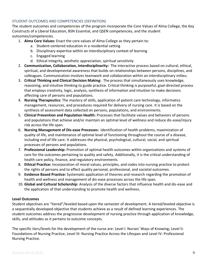## <span id="page-8-0"></span>STUDENT OUTCOMES AND COMPETENCIES (DEFINITION)

The student outcomes and competencies of the program incorporate the Core Values of Alma College, the Key Constructs of a Liberal Education, BSN Essential, and QSEN competencies, and the student outcomes/competencies.

- 1. **Alma Core Values:** Enact the core values of Alma College as they pertain to:
	- a. Student-centered education in a residential setting
	- b. Disciplinary expertise within an interdisciplinary context of learning
	- c. Engaged learning
	- d. Ethical integrity, aesthetic appreciation, spiritual sensitivity
- 2. **Communication, Collaboration, Interdisciplinarity:** The interactive process based on cultural, ethical, spiritual, and developmental awareness that builds on relationships between persons, disciplines, and colleagues. Communication involves teamwork and collaboration within an interdisciplinary milieu.
- 3. **Critical Thinking and Clinical Decision Making:** The process that simultaneously uses knowledge, reasoning, and intuitive thinking to guide practice. Critical thinking is purposeful, goal-directed process that employs creativity, logic, analysis, synthesis of information and intuition to make decisions affecting care of persons and populations.
- 4. **Nursing Therapeutics:** The mastery of skills, application of patient care technology, informatics management, resources, and procedures required for delivery of nursing care. It is based on the synthesis of assessment data collected on persons, populations, and environments.
- 5. **Clinical Prevention and Population Health:** Processes that facilitate values and behaviors of persons and populations that achieve and/or maintain an optimal level of wellness and reduce dis-ease/injury risk across the life span.
- 6. **Nursing Management of Dis-ease Processes:** Identification of health problems, maximization of quality of life, and maintenance of optimal level of functioning throughout the course of a disease, including end of life care. It addresses the physical, psychological, cultural, social, and spiritual processes of persons and populations.
- 7. **Professional Leadership:** Promotion of optimal health outcomes within organizations and systems of care for the outcomes pertaining to quality and safety. Additionally, it is the critical understanding of health care policy, finance, and regulatory environments.
- 8. **Ethical Practice:** Incorporation of moral values, principles, and codes into nursing practice to protect the rights of persons and to effect quality personal, professional, and societal outcomes.
- 9. **Evidence Based Practice:** Systematic application of theories and research regarding the promotion of health and wellness and management of dis-ease processes across the life span.
- 10. **Global and Cultural Scholarship:** Analysis of the diverse factors that influence health and dis-ease and the application of that understanding to promote health and wellness.

# **Level Outcomes**

Student objectives are "tiered"/leveled based upon the semester of development. A tiered/leveled objective is a sequentially developed objective that students achieve as a result of defined learning experiences. The student outcomes address the progressive development of nursing practice through application of knowledge, skills, and attitudes as it pertains to outcome concepts.

The specific tiers/levels for the development of the nurse are: Level I: Nurses' Ways of Knowing; Level II: Foundations of Nursing Practice; Level III: Nursing Practice Across the Lifespan and Level IV: Professional Nursing Practice.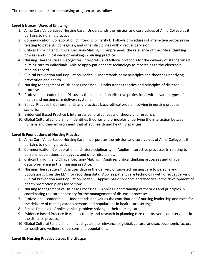The outcome concepts for the nursing program are as follows:

## **Level I: Nurses' Ways of Knowing**

- 1. Alma Core Value Based Nursing Care: Understands the mission and core values of Alma College as it pertains to nursing practice.
- 2. Communication, Collaboration & Interdisciplinarity I: Follows procedures of interactive processes in relating to patients, colleagues, and other disciplines with direct supervision.
- 3. Critical Thinking and Clinical Decision-Making I: Comprehends the relevance of the critical thinking process and clinical decision-making in nursing practice.
- 4. Nursing Therapeutics I: Recognizes, interprets, and follows protocols for the delivery of standardized nursing care to individuals. Able to apply patient care technology as it pertains to the electronic medical record.
- 5. Clinical Prevention and Population Health I: Understands basic principles and theories underlying prevention and health.
- 6. Nursing Management of Dis-ease Processes I: Understands theories and principles of dis-ease processes.
- 7. Professional Leadership I: Discusses the impact of an effective professional within varied types of health and nursing care delivery systems.
- 8. Ethical Practice I: Comprehends and practices basic-ethical problem solving in nursing practice scenario.
- 9. Evidenced Based Practice I: Interprets general concepts of theory and research.
- 10. Global Cultural Scholarship I: Identifies theories and principles underlying the interaction between humans and their environment that affect health and health disparities.

## **Level II: Foundations of Nursing Practice**

- 1. Alma Core Value Based Nursing Care: Incorporates the mission and core values of Alma College as it pertains to nursing practice.
- 2. Communication, Collaboration and Interdisciplinarity II: Applies interactive processes in relating to persons, populations, colleagues, and other disciplines.
- 3. Critical Thinking and Clinical Decision-Making II Analyzes critical thinking processes and clinical decision-making in their nursing practice.
- 4. Nursing Therapeutics II: Analyzes data in the delivery of targeted nursing care to persons and populations. Uses the EMR for recording data. Applies patient care technology with direct supervision.
- 5. Clinical Prevention and Population Health II: Applies basic concepts and theories in the development of health promotion plans for persons.
- 6. Nursing Management of Dis-ease Processes II: Applies understanding of theories and principles in coordinating the care necessary for the management of dis-ease processes.
- 7. Professional Leadership II: Understands and values the contribution of nursing leadership and roles for the delivery of nursing care to persons and populations in health care settings.
- 8. Ethical Practice II: Applies ethical problem solving in their nursing care.
- 9. Evidence Based Practice II: Applies theory and research in planning care that prevents or intervenes in the dis-ease process.
- 10. Global Cultural Scholarship II: Investigates the relevance of global, cultural and socioeconomic factors to health and wellness of persons and populations.

# **Level III: Nursing Practice across the Lifespan**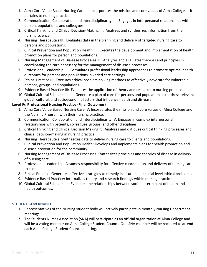- 1. Alma Core Value Based Nursing Care III: Incorporates the mission and core values of Alma College as it pertains to nursing practice.
- 2. Communication, Collaboration and Interdisciplinarity III: Engages in interpersonal relationships with person, populations, and colleagues.
- 3. Critical Thinking and Clinical Decision-Making III: Analyzes and synthesizes information from the nursing science.
- 4. Nursing Therapeutics III: Evaluates data in the planning and delivery of targeted nursing care to persons and populations.
- 5. Clinical Prevention and Population Health III: Executes the development and implementation of health promotion plans for person and populations.
- 6. Nursing Management of Dis-ease Processes III: Analyzes and evaluates theories and principles in coordinating the care necessary for the management of dis-ease processes.
- 7. Professional Leadership III: Formulates professional leadership approaches to promote optimal health outcomes for persons and populations in varied care settings.
- 8. Ethical Practice III: Executes ethical problem-solving methods to effectively advocate for vulnerable persons, groups, and populations.
- 9. Evidence Based Practice III: Evaluates the application of theory and research to nursing practice.
- 10. Global Cultural Scholarship III: Generate a plan of care for persons and populations to address relevant global, cultural, and socioeconomic factors that influence health and dis-ease.

# **Level IV: Professional Nursing Practice (Final Outcomes)**

- 1. Alma Core Value Based Nursing Care IV: Incorporates the mission and core values of Alma College and the Nursing Program with their nursing practice.
- 2. Communication, Collaboration and Interdisciplinarity IV: Engages in complex interpersonal relationships with patients, colleagues, groups, and other disciplines.
- 3. Critical Thinking and Clinical Decision Making IV: Analyzes and critiques critical thinking processes and clinical decision-making in nursing practice.
- 4. Nursing Therapeutics: Synthesizes data to deliver nursing care to clients and populations.
- 5. Clinical Prevention and Population Health: Develops and implements plans for health promotion and disease prevention for the community.
- 6. Nursing Management of Dis-ease Processes: Synthesizes principles and theories of disease in delivery of nursing care.
- 7. Professional Leadership: Assumes responsibility for effective coordination and delivery of nursing care to clients.
- 8. Ethical Practice: Generates effective strategies to remedy institutional or social level ethical problems.
- 9. Evidence Based Practice: Internalizes theory and research findings within nursing practice.
- 10. Global Cultural Scholarship: Evaluates the relationships between social determinant of health and health outcomes.

## <span id="page-10-0"></span>STUDENT GOVERNANCE

- 1. Representatives of the Nursing student body will actively participate in monthly Nursing Department meetings.
- **2.** The Students Nurses Association (SNA) will participate as an official organization at Alma College and will be a voting member on Alma College Student Council. One SNA member will be required to attend each Alma College Student Council meeting.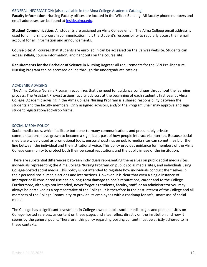<span id="page-11-0"></span>GENERAL INFORMATION: (also available in the Alma College Academic Catalog)

**Faculty Information:** Nursing Faculty offices are located in the Wilcox Building. All faculty phone numbers and email addresses can be found at [inside.alma.edu.](http://inside.alma.edu/)

**Student Communication:** All students are assigned an Alma College email. The Alma College email address is used for all nursing program communication. It is the student's responsibility to regularly access their email account for all information and announcements.

**Course Site:** All courses that students are enrolled in can be accessed on the Canvas website. Students can access syllabi, course information, and handouts on the course site.

**Requirements for the Bachelor of Science in Nursing Degree:** All requirements for the BSN Pre-licensure Nursing Program can be accessed online through the undergraduate catalog.

## <span id="page-11-1"></span>ACADEMIC ADVISING

The Alma College Nursing Program recognizes that the need for guidance continues throughout the learning process. The Assistant Provost assigns faculty advisors at the beginning of each student's first year at Alma College. Academic advising in the Alma College Nursing Program is a shared responsibility between the students and the faculty members. Only assigned advisors, and/or the Program Chair may approve and sign student registration/add-drop forms.

#### <span id="page-11-2"></span>SOCIAL MEDIA POLICY

Social media tools, which facilitate both one-to-many communications and presumably private communications, have grown to become a significant part of how people interact via Internet. Because social media are widely used as promotional tools, personal postings on public media sites can sometimes blur the line between the individual and the institutional voice. This policy provides guidance for members of the Alma College community to protect both their personal reputations and the public image of the institution.

There are substantial differences between individuals representing themselves on public social media sites, individuals representing the Alma College Nursing Program on public social media sites, and individuals using College-hosted social media. This policy is not intended to regulate how individuals conduct themselves in their personal social media actions and interactions. However, it is clear that even a single instance of improper or ill-considered use can do long-term damage to one's reputations, career and to the College. Furthermore, although not intended, never forget as students, faculty, staff, or an administrator you may always be perceived as a representative of the College. It is therefore in the best interest of the College and all members of the College Community to provide its employees with a roadmap for safe, smart use of social media.

The College has a significant investment in College-owned public social media pages and personal sites on College-hosted services, as content on these pages and sites reflect directly on the institution and how it seems by the general public. Therefore, this policy regarding posting content must be strictly adhered to in these contexts.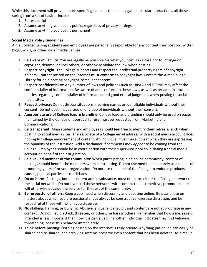While this document will provide more specific guidelines to help navigate particular interactions, all these spring from a set of basic principles:

- 1. Be respectful
- 2. Assume anything you post is public, regardless of privacy settings.
- 3. Assume anything you post is permanent.

## **Social Media Policy Guidelines**

Alma College nursing students and employees are personally responsible for any content they post on Twitter, blogs, wikis, or other social media venues.

- 1. **Be aware of liability**: You are legally responsible for what you post. Take care not to infringe on copyright, defame, or libel others, or otherwise violate the law when posting.
- 2. **Respect copyright:** The College supports and respect the intellectual property rights of copyright holders. Content posted on the Internet must conform to copyright law. Contact the Alma College Library for help posting copyright-compliant content.
- 3. **Respect confidentiality:** Any number of laws and policies (such as HIPAA and FERPA) may affect the confidentiality of information. Be aware of and conform to these laws, as well as broader institutional policies regarding confidentiality of information and good ethical judgment, when posting to social media sites.
- 4. **Respect privacy:** Do not discuss situations involving names or identifiable individuals without their consent. Do not post images, audio, or video of individuals without their consent.
- 5. **Appropriate use of College logo & branding:** College logo and branding should only be used on pages maintained by the College or approval for use must be requested from Marketing and Communications.
- 6. **Be transparent:** Alma students and employees should feel free to identify themselves as such when posting to social media sites. The associate of a College email address with a social media account does not imply College endorsement of content. An individual must make it clear when they are expressing the opinions of the institution. Add a disclaimer if comments *may appear* to be coming from the College. Employees should be in coordination with their supervisor prior to initiating a social media account on behalf of their origination.
- 7. **Be a valued member of the community:** When participating in an online community, content of postings should benefit the members when contributing. Do not use membership purely as a means of promoting yourself or your organization. Do not use the name of the College to endorse products, causes, political parties, or candidates.
- 8. **Do no harm:** Postings, both in content and in substance, must not harm either the College network or the social networks. Do not overload these networks with content that is repetitive, promotional, or will otherwise devalue the service for the rest of the community.
- 9. **Be respectful of others:** Keep a cool head when discussing and debating online. Be passionate on matters about which you are passionate, but always be constructive, exercise discretion, and be respectful of those with whom you disagree.
- 10. **No stalking, flaming, or bullying:** Abusive language, behavior, and content are not appropriate in any context. Do not insult, attack, threaten, or otherwise harass others. Remember that how a message is intended is less important than how it is perceived. If another individual indicates they find behavior threatening, cease this behavior immediately.
- 11. **Think before posting:** Nothing posted on the Internet is truly private. Anything put online can easily be shared and re-shared, and archiving systems preserve even content that has been deleted. As a result,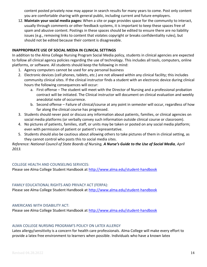content posted privately now may appear in search results for many years to come. Post only content you are comfortable sharing with general public, including current and future employers.

12. **Maintain your social media pages:** When a site or page provides space for the community to interact, usually through comments or other feedback systems, it is important to keep these spaces free of spam and abusive content. Postings in these spaces should be edited to ensure there are no liability issues (e.g., removing links to content that violates copyright or breaks confidentiality rules), but should not be edited because their content is disagreeable.

## **INAPPROPRIATE USE OF SOCIAL MEDIA IN CLINICAL SETTINGS**

In addition to the Alma College Nursing Program Social Media policy, students in clinical agencies are expected to follow all clinical agency policies regarding the use of technology. This includes all tools, computers, online platforms, or software. All students should keep the following in mind:

- 1. Agency computers cannot be used for any personal business
- 2. Electronic devices (cell phones, tablets, etc.) are not allowed within any clinical facility; this includes community clinical sites. If the clinical instructor finds a student with an electronic device during clinical hours the following consequences will occur:
	- a. First offense The student will meet with the Director of Nursing and a professional probation contract will be initiated. The Clinical instructor will document on clinical evaluation and weekly anecdotal note of occurrence.
	- b. Second offense Failure of clinical/course at any point in semester will occur, regardless of how far along the clinical course has progressed.
- 3. Students should never post or discuss any information about patients, families, or clinical agencies on social media platforms (or verbally convey such information outside clinical course or classroom).
- 4. No pictures of patients, families, staff, or units may be taken or posted on any social media platform; even with permission of patient or patient's representative.
- 5. Students should also be cautious about allowing others to take pictures of them in clinical setting, as they cannot control who posts this to social media sites.

*Reference: National Council of State Boards of Nursing, A Nurse's Guide to the Use of Social Media, April 2013.*

## <span id="page-13-0"></span>COLLEGE HEALTH AND COUNSELING SERVICES:

Please see Alma College Student Handbook at<http://www.alma.edu/student-handbook>

## <span id="page-13-1"></span>FAMILY EDUCATIONAL RIGHTS AND PRIVACY ACT (FERPA):

Please see Alma College Student Handbook at<http://www.alma.edu/student-handbook>

## <span id="page-13-2"></span>AMERICANS WITH DISABILITY ACT:

Please see Alma College Student Handbook at<http://www.alma.edu/student-handbook>

## <span id="page-13-3"></span>ALMA COLLEGE NURSING PROGRAM'S POLICY ON LATEX ALLERGY

Latex allergy/sensitivity is a concern for health care professionals. Alma College will make every effort to provide a latex free environment to learners when possible. Individuals who have a known latex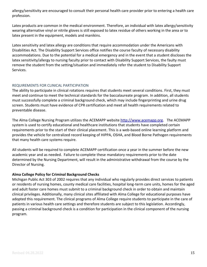allergy/sensitivity are encouraged to consult their personal health care provider prior to entering a health care profession.

Latex products are common in the medical environment. Therefore, an individual with latex allergy/sensitivity wearing alternative vinyl or nitrile gloves is still exposed to latex residue of others working in the area or to latex present in the equipment, models and manikins.

Latex sensitivity and latex allergy are conditions that require accommodation under the Americans with Disabilities Act. The Disability Support Services office notifies the course faculty of necessary disability accommodations. Due to the potential for a medical emergency and in the event that a student discloses the latex sensitivity/allergy to nursing faculty prior to contact with Disability Support Services, the faulty must remove the student from the setting/situation and immediately refer the student to Disability Support Services.

## <span id="page-14-0"></span>REQUIREMENTS FOR CLINICAL PARTICIPATION

The ability to participate in clinical rotations requires that students meet several conditions. First, they must meet and continue to meet the technical standards for the baccalaureate program. In addition, all students must successfully complete a criminal background check, which may include fingerprinting and urine drug screen. Students must have evidence of CPR certification and meet all health requirements related to preventable disease.

The Alma College Nursing Program utilizes the ACEMAPP website [http://www.acemapp.org.](http://www.acemapp.org/) The ACEMAPP system is used to certify educational and healthcare institutions that students have completed certain requirements prior to the start of their clinical placement. This is a web-based online learning platform and provides the vehicle for centralized record keeping of HIPPA, OSHA, and Blood Borne Pathogen requirements that many health care systems require.

All students will be required to complete ACEMAPP certification once a year in the summer before the new academic year and as needed. Failure to complete these mandatory requirements prior to the date determined by the Nursing Department, will result in the administrative withdrawal from the course by the Director of Nursing.

## **Alma College Policy for Criminal Background Checks**

Michigan Public Act 303 of 2002 requires that any individual who regularly provides direct services to patients or residents of nursing homes, county medical care facilities, hospital long-term care units, homes for the aged and adult foster care homes must submit to a criminal background check in order to obtain and maintain clinical privileges. Additionally, many clinical sites affiliated with Alma College for educational purposes have adopted this requirement. The clinical programs of Alma College require students to participate in the care of patients in various health care settings and therefore students are subject to this legislation. Accordingly, passing a criminal background check is a condition for participation in the clinical component of the nursing program.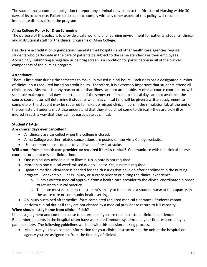The student has a continual obligation to report any criminal conviction to the Director of Nursing within 30 days of its occurrence. Failure to do so, or to comply with any other aspect of this policy, will result in immediate dismissal from the program.

## **Alma College Policy for Drug Screening**

The purpose of this policy is to provide a safe working and learning environment for patients, students, clinical and institutional staff for the clinical programs of Alma College.

Healthcare accreditation organizations mandate that hospitals and other health care agencies require students who participate in the care of patients be subject to the same standards as their employees. Accordingly, submitting a negative urine drug screen is a condition for participation in all of the clinical components of the nursing program.

## **Attendance**

There is little time during the semester to make up missed clinical hours. Each class has a designated number of clinical hours required based on credit hours. Therefore, it is extremely important that students attend all clinical days. Absences for any reason other than illness are not acceptable. A clinical course coordinator will schedule makeup clinical days near the end of the semester. If makeup clinical days are not available, the course coordinator will determine if students who miss clinical time will be given a written assignment to complete or the student may be required to make up missed clinical hours in the simulation lab at the end of the semester. Students must also understand that they should not come to clinical if they are truly ill or injured in such a way that they cannot participate at clinical.

# **Students' FAQs**

## **Are clinical days ever cancelled?**

- All clinicals are cancelled when the college is closed.
- Alma College weather related cancelations are posted on the Alma College website.
- Use common sense do not travel if your safety is at stake.

# **Will a note from a health care provider be required if I miss clinical?** Communicate with the clinical course coordinator about missed clinical time.

- One clinical day missed due to illness: No, a note is not required.
- More than one clinical week missed due to illness: Yes, a note is required.
- Updated medical clearance is needed for health issues that develop after enrollment in the nursing program. For example, illness, injury, or surgery prior to or during the clinical experience
	- o Submit written medical approval from a health care provider to the clinical coordinator in order to return to clinical practice.
	- o The note must document the student's ability to function as a student nurse at full capacity, in the acute care or community health setting.
- An injury sustained after medical form completed required medical clearance. Students cannot perform clinical duties if they are not cleared by a medical provider to return to full capacity.

# **When should I stay home from clinical if sick?**

Use best judgment and common sense to determine if you are too ill to attend clinical experiences. Remember, patients in the hospital often have weakened immune systems and your first responsibility is patient safety. The following guidelines will help with this decision-making process.

• Make sure you have contact information for your clinical instructor and the unit at the hospital or agency you are assigned to, from the first day of clinical.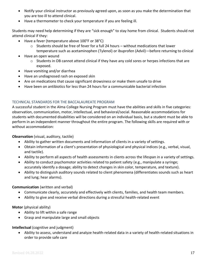- Notify your clinical instructor as previously agreed upon, as soon as you make the determination that you are too ill to attend clinical.
- Have a thermometer to check your temperature if you are feeling ill.

Students may need help determining if they are "sick enough" to stay home from clinical. Students should not attend clinical if they:

- Have a fever (temperature above 100°F or 38°C)
	- $\circ$  Students should be free of fever for a full 24 hours without medications that lower temperature such as acetaminophen (Tylenol) or ibuprofen (Advil)—before returning to clinical
- Have an open wound
	- o Students in OB cannot attend clinical if they have any cold sores or herpes infections that are exposed.
- Have vomiting and/or diarrhea
- Have an undiagnosed rash on exposed skin
- Are on medications that cause significant drowsiness or make them unsafe to drive
- Have been on antibiotics for less than 24 hours for a communicable bacterial infection

#### <span id="page-16-0"></span>TECHNICAL STANDARDS FOR THE BACCALAUREATE PROGRAM

A successful student in the Alma College Nursing Program must have the abilities and skills in five categories: observation, communication, motor, intellectual, and behavioral/social. Reasonable accommodations for students with documented disabilities will be considered on an individual basis, but a student must be able to perform in an independent manner throughout the entire program. The following skills are required with or without accommodation:

#### **Observation** (visual, auditory, tactile)

- Ability to gather written documents and information of clients in a variety of settings.
- Obtain information of a client's presentation of physiological and physical indices (e.g., verbal, visual, and tactile).
- Ability to perform all aspects of health assessments in clients across the lifespan in a variety of settings.
- Ability to conduct psychomotor activities related to patient safety (e.g., manipulate a syringe; accurately identify a dosage; ability to detect changes in skin color, temperature, and texture).
- Ability to distinguish auditory sounds related to client phenomena (differentiates sounds such as heart and lung; hear alarms).

#### **Communication** (written and verbal)

- Communicate clearly, accurately and effectively with clients, families, and health team members.
- Ability to give and receive verbal directions during a stressful health-related event

#### **Motor** (physical ability)

- Ability to lift within a safe range
- Grasp and manipulate large and small objects

#### **Intellectual** (cognitive and judgment)

• Ability to assess, understand and analyze health-related data in a variety of health-related situations in order to provide safe care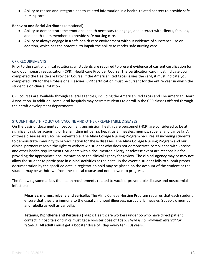• Ability to reason and integrate health-related information in a health-related context to provide safe nursing care.

#### **Behavior and Social Attributes** (emotional)

- Ability to demonstrate the emotional health necessary to engage, and interact with clients, families, and health-team members to provide safe nursing care.
- Ability to always engage in a safe health care environment without evidence of substance use or addition, which has the potential to impair the ability to render safe nursing care.

#### <span id="page-17-0"></span>CPR REQUIREMENTS

Prior to the start of clinical rotations, all students are required to present evidence of current certification for cardiopulmonary resuscitation (CPR), Healthcare Provider Course. The certification card must indicate you completed the Healthcare Provider Course. If the American Red Cross issues the card, it must indicate you completed CPR for the Professional Rescuer. CPR certification must be current for the entire year in which the student is on clinical rotation.

CPR courses are available through several agencies, including the American Red Cross and The American Heart Association. In addition, some local hospitals may permit students to enroll in the CPR classes offered through their staff development departments.

## <span id="page-17-1"></span>STUDENT HEALTH POLICY ON VACCINE AND OTHER PREVENTABLE DISEASES

On the basis of documented nosocomial transmission, health care personnel (HCP) are considered to be at significant risk for acquiring or transmitting influenza, hepatitis B, measles, mumps, rubella, and varicella. All of these diseases are vaccine preventable. The Alma College Nursing Program requires all incoming students to demonstrate immunity to or vaccination for these diseases. The Alma College Nursing Program and our clinical partners reserve the right to withdraw a student who does not demonstrate compliance with vaccine and other health requirements. Students with a documented allergy or adverse event are responsible for providing the appropriate documentation to the clinical agency for review. The clinical agency may or may not allow the student to participate in clinical activities at their site. In the event a student fails to submit proper documentation by the specified date, a registration hold may be placed on the account of the student or the student may be withdrawn from the clinical course and not allowed to progress.

The following summarizes the health requirements related to vaccine-preventable disease and nosocomial infection:

**Measles, mumps, rubella and varicella:** The Alma College Nursing Program requires that each student ensure that they are immune to the usual childhood illnesses; particularly measles (rubeola), mumps and rubella as well as varicella.

**Tetanus, Diphtheria and Pertussis (Tdap):** Healthcare workers under 65 who have direct patient contact in hospitals or clinics must get a booster dose of Tdap. *There is no minimum interval for tetanus.* All adults must get a booster dose of Tdap every ten (10) years.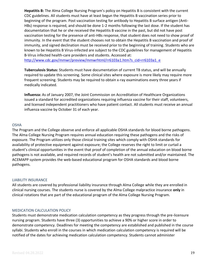**Hepatitis B:** The Alma College Nursing Program's policy on Hepatitis B is consistent with the current CDC guidelines. All students must have at least begun the Hepatitis B vaccination series prior to beginning of the program. Post vaccination testing for antibody to Hepatitis B surface antigen (Anti-HBs) response is required, and should be done 1-2 months following the last dose. If the student has documentation that he or she received the Hepatitis B vaccine in the past, but did not have post vaccination testing for the presence of anti-HBs response, that student does not need to show proof of immunity. In the event that the student chooses not to obtain the Hepatitis B vaccination and proof of immunity, and signed declination must be received prior to the beginning of training. Students who are known to be Hepatitis B Virus-infected are subject to the CDC guidelines for management of Hepatitis B-Virus infected health-care providers and students. Accessed at:

[http://www.cdc.gov/mmwr/preview/mmwrhtml/rr6103a1.htm?s\\_cid=rr6103a1\\_e](http://www.cdc.gov/mmwr/preview/mmwrhtml/rr6103a1.htm?s_cid=rr6103a1_e)

**Tuberculosis Status:** Students must have documentation of current TB status, and will be annually required to update this screening. Some clinical sites where exposure is more likely may require more frequent screening. Students may be required to obtain x-ray examinations every three years if medically indicated.

**Influenza:** As of January 2007, the Joint Commission on Accreditation of Healthcare Organizations issued a standard for accredited organizations requiring influenza vaccine for their staff, volunteers, and licensed independent practitioners who have patient contact. All students must receive an annual influenza vaccine by October 31 of each year.

#### <span id="page-18-0"></span>**OSHA**

The Program and the College observe and enforce all applicable OSHA standards for blood borne pathogens. The Alma College Nursing Program requires annual education requiring these pathogens and the risks of exposure. The Program utilizes only those clinical training sites which comply with OSHA standards for availability of protective equipment against exposure; the College reserves the right to limit or curtail a student's clinical opportunities in the event that proof of completion of the annual education on blood borne pathogens is not available, and required records of student's health are not submitted and/or maintained. The ACEMAPP system provides the web-based educational program for OSHA standards and blood borne pathogens.

#### <span id="page-18-1"></span>LIABILITY INSURANCE

All students are covered by professional liability insurance through Alma College while they are enrolled in clinical nursing courses. The students nurse is covered by the Alma College malpractice insurance **only** in clinical rotations that are part of the educational program of the Alma College Nursing Program.

#### <span id="page-18-2"></span>MEDICATION CALCULATION POLICY

Students must demonstrate medication calculation competency as they progress through the pre-licensure nursing program. Students have three (3) opportunities to achieve a 90% or higher score in order to demonstrate competency. Deadlines for meeting the competency are established and published in the course syllabi. Students who enroll in the courses in which medication calculation competency is required will be notified of the dates for achieving medication calculation competency. Students cannot administer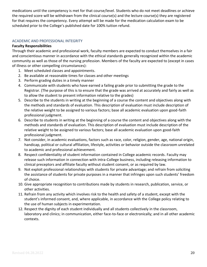medications until the competency is met for that course/level. Students who do not meet deadlines or achieve the required score will be withdrawn from the clinical course(s) and the lecture course(s) they are registered for that requires the competency. Every attempt will be made for the medication calculation exam to be scheduled prior to the College's published date for 100% tuition refund.

## <span id="page-19-0"></span>ACADEMIC AND PROFESSIONAL INTEGRITY

## **Faculty Responsibilities**

Through their academic and professional work, faculty members are expected to conduct themselves in a fair and conscientious manner in accordance with the ethical standards generally recognized within the academic community as well as those of the nursing profession. Members of the faculty are expected to (except in cases of illness or other compelling circumstances):

- 1. Meet scheduled classes and appointments.
- 2. Be available at reasonable times for classes and other meetings
- 3. Perform grading duties in a timely manner
- 4. Communicate with students who have earned a failing grade prior to submitting the grade to the Registrar. (The purpose of this is to ensure that the grade was arrived at accurately and fairly as well as to allow the student to present information relative to the grades)
- 5. Describe to the students in writing at the beginning of a course the content and objectives along with the methods and standards of evaluation. This description of evaluation must include description of the relative weight to be assigned to various factors; base all academic evaluation upon good-faith professional judgment.
- 6. Describe to students in writing at the beginning of a course the content and objectives along with the methods and standards of evaluation. This description of evaluation must include description of the relative weight to be assigned to various factors; base all academic evaluation upon good-faith professional judgment.
- 7. Not consider, in academic evaluations, factors such as race, color, religion, gender, age, national origin, handicap, political or cultural affiliation, lifestyle, activities or behavior outside the classroom unrelated to academic and professional achievement.
- 8. Respect confidentiality of student information contained in College academic records. Faculty may release such information in connection with intra-College business, including releasing information to clinical preceptors and affiliate faculty without student consent, or as required by law.
- 9. Not exploit professional relationships with students for private advantage; and refrain from soliciting the assistance of students for private purposes in a manner that infringes upon such students' freedom of choice.
- 10. Give appropriate recognition to contributions made by students in research, publication, service, or other activities.
- 11. Refrain from any activity which involves risk to the health and safety of a student, except with the student's informed consent, and, where applicable, in accordance with the College policy relating to the use of human subjects in experimentation.
- 12. Respect the dignity of each student individually and all students collectively in the classroom, laboratory and clinics; in communication, either face-to-face or electronically; and in all other academic contexts.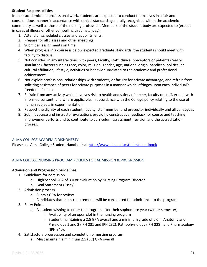### **Student Responsibilities**

In their academic and professional work, students are expected to conduct themselves in a fair and conscientious manner in accordance with ethical standards generally recognized within the academic community as well as those of the nursing profession. Members of the student body are expected to (except in cases of illness or other compelling circumstances):

- 1. Attend all scheduled classes and appointments.
- 2. Prepare for all classes and other meetings.
- 3. Submit all assignments on time.
- 4. When progress in a course is below expected graduate standards, the students should meet with faculty to discuss.
- 5. Not consider, in any interactions with peers, faculty, staff, clinical preceptors or patients (real or simulated), factors such as race, color, religion, gender, age, national origin, handicap, political or cultural affiliation, lifestyle, activities or behavior unrelated to the academic and professional achievement.
- 6. Not exploit professional relationships with students, or faculty for private advantage; and refrain from soliciting assistance of peers for private purposes in a manner which infringes upon each individual's freedom of choice.
- 7. Refrain from any activity which involves risk to health and safety of a peer, faculty or staff, except with informed consent, and where applicable, in accordance with the College policy relating to the use of human subjects in experimentation.
- 8. Respect the dignity of each student, faculty, staff member and preceptor individually and all colleagues
- 9. Submit course and instructor evaluations providing constructive feedback for course and teaching improvement efforts and to contribute to curriculum assessment, revision and the accreditation process.

## <span id="page-20-0"></span>ALMA COLLEGE ACADEMIC DISHONESTY

Please see Alma College Student Handbook at<http://www.alma.edu/student-handbook>

# <span id="page-20-1"></span>ALMA COLLEGE NURSING PROGRAM POLICIES FOR ADMISSION & PROGRESSION

## **Admission and Progression Guidelines**

- 1. Guidelines for admission
	- a. High School GPA of 3.0 or evaluation by Nursing Program Director
	- b. Goal Statement (Essay)
- 2. Admission process
	- a. Submit GPA for review
	- b. Candidates that meet requirements will be considered for admittance to the program
- 3. Entry Points
	- a. A student wishing to enter the program after their sophomore year (winter semester)
		- i. Availability of an open slot in the nursing program
		- ii. Student maintaining a 2.5 GPA overall and a minimum grade of a C in Anatomy and Physiology 1 and 2 (IPH 231 and IPH 232), Pathophysiology (IPH 328), and Pharmacology (IPH 340).
- 4. Satisfactory progression and completion of nursing program
	- a. Must maintain a minimum 2.5 (BC) GPA overall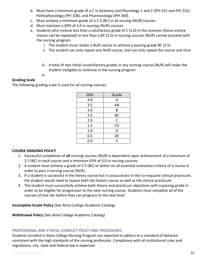- b. Must have a minimum grade of a C in Anatomy and Physiology 1 and 2 (IPH 231 and IPH 232), Pathophysiology (IPH 328), and Pharmacology (IPH 340).
- c. Must achieve a minimum grade of a 2.5 (BC) in all nursing (NUR) courses
- d. Must maintain a GPA of 3.0 in nursing (NUR) courses
- e. Students who receive less than a satisfactory grade of C (2.0) in the sciences (these science classes can be repeated) or less than a BC (2.5) in nursing courses (NUR) cannot proceed with the nursing program.
	- i. The student must retake a NUR course to achieve a passing grade BC (2.5)
	- ii. The student can only repeat one NUR course, and can only repeat the course one time
	- iii. A total of two initial unsatisfactory grades in any nursing course (NUR) will make the student ineligible to continue in the nursing program

iv.

#### **Grading Scale**

The following grading scale is used for all nursing courses.

| <b>GPA</b> | Grade     |
|------------|-----------|
| 4.0        | А         |
| 3.5        | AB        |
| 3.0        | B         |
| 2.5        | BС        |
| 2.0        | C         |
| 1.5        | <b>CD</b> |
| 1.0        | D         |
| 0.5        | DE        |
| 0.0        | E         |

## **COURSE GRADING POLICY**

- 1. Successful completion of **all** nursing courses (NUR) is dependent upon achievement of a minimum of 2.5 (BC) in each course and a minimum GPA of 3.0 in nursing courses.
- 2. A student must achieve a grade of 2.5 (BC) or better on all essential evaluation criteria of a course in order to pass a nursing course (NUR).
- 3. If a student is successful in the theory course but is unsuccessful in the co-requisite clinical practicum, the student would need to repeat both the theory course as well as the clinical practicum.
- 4. The student must successfully achieve both theory and practicum objectives with a passing grade in order to be eligible for progression to the next nursing course. Students must complete all of the courses of one tier before they can progress to the next level.

**Incomplete Grade Policy** (See Alma College Academic Catalog)

**Withdrawal Policy** (See Alma College Academic Catalog)

#### <span id="page-21-0"></span>PROFESSIONAL AND ETHICAL CONDUCT POLICY AND PROCEDURES

Students enrolled in Alma College Nursing Program are expected to adhere to a standard of behavior consistent with the high standards of the nursing profession. Compliance with all institutional rules and regulations, city, state and federal law is expected.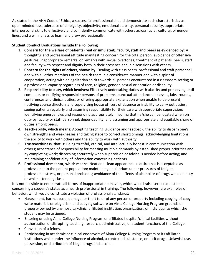As stated in the ANA Code of Ethics, a successful professional should demonstrate such characteristics as open-mindedness, tolerance of ambiguity, objectivity, emotional stability, personal security, appropriate interpersonal skills to effectively and confidently communicate with others across racial, cultural, or gender lines; and a willingness to learn and grow professionally.

# **Student Conduct Evaluations Include the Following**

- 1. **Concern for the welfare of patients (real or simulated), faculty, staff and peers as evidenced by:** A thoughtful and professional attitude manifesting concern for the total person; avoidance of offensive gestures, inappropriate remarks, or remarks with sexual overtones; treatment of patients, peers, staff and faculty with respect and dignity both in their presence and in discussions with others.
- 2. **Concern for the rights of others, shown by:** Dealing with class peers, professional and staff personnel, and with all other members of the health team in a considerate manner and with a spirit of cooperation; acting with an egalitarian spirit towards all persons encountered in a classroom setting or a professional capacity regardless of race, religion, gender, sexual orientation or disability.
- 3. **Responsibility to duty, which involves:** Effectively undertaking duties with alacrity and preserving until complete, or notifying responsible persons of problems; punctual attendance at classes, labs, rounds, conferences and clinical duties, or offering appropriate explanation when unable to be present; notifying course directors and supervising house officers of absence or inability to carry out duties; seeing patients regularly and assuming responsibility for their care with appropriate supervision; identifying emergencies and responding appropriately; insuring that he/she can be located when on duty by faculty or staff personnel; dependability; and assuming and appropriate and equitable share of duties among peers.
- 4. **Teach-ability, which means:** Accepting teaching, guidance and feedback, the ability to discern one's own strengths and weaknesses and taking steps to correct shortcomings; acknowledging limitations; the ability to work with others and the ability to work with authority.
- 5. **Trustworthiness, that is:** Being truthful, ethical, and intellectually honest in communication with others; acceptance of responsibility for meeting multiple demands by established proper priorities and by completing work; discerning accurately when supervision or advice is needed before acting; and maintaining confidentiality of information concerning patients.
- 6. **Professional demeanor, which means:** Neat and clean appearance in attire that is acceptable as professional to the patient population; maintaining equilibrium under pressures of fatigue, professional stress, or personal problems; avoidance of the effects of alcohol or of drugs while on duty or while attending class.

It is not possible to enumerate all forms of inappropriate behavior, which would raise serious questions concerning a student's status as a health professional in training. The following, however, are examples of behavior, which would constitute a violation of professional standards:

- Harassment, harm, abuse, damage, or theft to or of any person or property including copying of copywrite materials or plagiarism and copying software on Alma College Nursing Program grounds or property owned by any hospital/clinic, affiliated institution/organization, or individual to which the student may be assigned.
- Entering or using Alma College Nursing Program or affiliated hospital/clinical facilities without authorization or disrupting teaching, research, administrative, or student functions of the College
- Conviction of a felony.
- Participating in academic or clinical endeavors of Alma College Nursing Program or its affiliated institutions while under the influence of alcohol, a controlled substance, or illicit drugs. Unlawful use, possession, or distribution of illegal drugs and alcohol.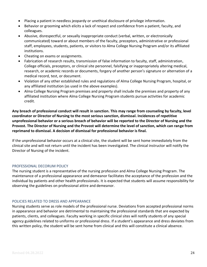- Placing a patient in needless jeopardy or unethical disclosure of privilege information.
- Behavior or grooming which elicits a lack of respect and confidence from a patient, faculty, and colleagues.
- Abusive, disrespectful, or sexually inappropriate conduct (verbal, written, or electronically communicated) toward or about members of the faculty, preceptors, administrative or professional staff, employees, students, patients, or visitors to Alma College Nursing Program and/or its affiliated institutions.
- Cheating on exams or assignments.
- Fabrication of research results, transmission of false information to faculty, staff, administration, College officials, preceptors, or clinical site personnel, falsifying or inappropriately altering medical, research, or academic records or documents, forgery of another person's signature or alternation of a medical record, test, or document.
- Violation of any other established rules and regulations of Alma College Nursing Program, hospital, or any affiliated institution (as used in the above examples).
- Alma College Nursing Program premises and property shall include the premises and property of any affiliated institution where Alma College Nursing Program students pursue activities for academic credit.

**Any breach of professional conduct will result in sanction. This may range from counseling by faculty, level coordinator or Director of Nursing to the most serious sanction, dismissal. Incidences of repetitive unprofessional behavior or a serious breach of behavior will be reported to the Director of Nursing and the Provost. The Director of Nursing and the Provost will determine the level of sanction, which can range from reprimand to dismissal. A decision of dismissal for professional behavior is final.**

If the unprofessional behavior occurs at a clinical site, the student will be sent home immediately from the clinical site and will not return until the incident has been investigated. The clinical instructor will notify the Director of Nursing of the incident.

## <span id="page-23-0"></span>PROFESSIONAL DECORUM POLICY

The nursing student is a representative of the nursing profession and Alma College Nursing Program. The maintenance of a professional appearance and demeanor facilitates the acceptance of the profession and the individual by patients and other health professionals. It is expected that students will assume responsibility for observing the guidelines on professional attire and demeanor.

#### POLICIES RELATED TO DRESS AND APPEARANCE

<span id="page-23-1"></span>Nursing students serve as role models of the professional nurse. Deviations from accepted professional norms in appearance and behavior are detrimental to maintaining the professional standards that are expected by patients, clients, and colleagues. Faculty working in specific clinical sites will notify students of any special agency guidelines related to uniforms or professional dress. If a student's appearance and dress deviates from this written policy, the student will be sent home from clinical and this will constitute a clinical absence.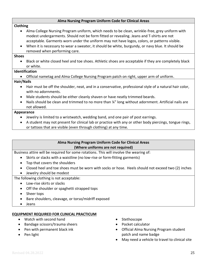#### **Alma Nursing Program Uniform Code for Clinical Areas**

#### **Clothing**

- Alma College Nursing Program uniform, which needs to be clean, wrinkle-free, grey uniform with modest undergarments. Should not be form fitted or revealing. Jeans and T-shirts are not acceptable. Garments worn under the uniform may not have logos, colors, or patterns visible.
- When it is necessary to wear a sweater, it should be white, burgundy, or navy blue. It should be removed when performing care.

#### **Shoes**

• Black or white closed heel and toe shoes. Athletic shoes are acceptable if they are completely black or white.

#### **Identification**

• Official nametag and Alma College Nursing Program patch on right, upper arm of uniform.

#### **Hair/Nails**

- Hair must be off the shoulder, neat, and in a conservative, professional style of a natural hair color, with no adornments.
- Male students should be either cleanly shaven or have neatly trimmed beards.
- Nails should be clean and trimmed to no more than <sup>1/2</sup> long without adornment. Artificial nails are not allowed.

#### **Appearance**

- Jewelry is limited to a wristwatch, wedding band, and one pair of post earrings.
- A student may not present for clinical lab or practice with any or other body piercings, tongue rings, or tattoos that are visible (even through clothing) at any time.

#### **Alma Nursing Program Uniform Code for Clinical Areas (Where uniforms are not required)**

Business attire will be required for some rotations. This will involve the wearing of:

- Skirts or slacks with a waistline (no low-rise or form-fitting garments)
- Top that covers the shoulders
- Closed heel and toe shoes must be worn with socks or hose. Heels should not exceed two (2) inches
- Jewelry should be modest

The following clothing is not acceptable:

- Low-rise skirts or slacks
- Off the shoulder or spaghetti strapped tops
- Sheer tops
- Bare shoulders, cleavage, or torso/midriff exposed
- Jeans

## **EQUIPMENT REQUIRED FOR CLINICAL PRACTICUM**

- Watch with second hand
- Bandage scissors/trauma sheers
- Pen with permanent black ink
- Pen light
- Stethoscope
- Pocket calculator
- Official Alma Nursing Program student patch and name badge
- May need a vehicle to travel to clinical site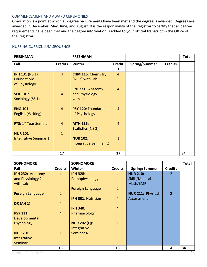#### <span id="page-25-0"></span>COMMENCEMENT AND AWARD CEREMONIES

Graduation is a point at which all degree requirements have been met and the degree is awarded. Degrees are awarded in December, May, June, and August. It is the responsibility of the Registrar to certify that all degree requirements have been met and the degree information is added to your official transcript in the Office of the Registrar.

#### <span id="page-25-1"></span>NURSING CURRICULUM SEQUENCE

| <b>FRESHMAN</b>              |                | <b>FRESHMAN</b>              |                |                      |                | <b>Total</b> |
|------------------------------|----------------|------------------------------|----------------|----------------------|----------------|--------------|
| Fall                         | <b>Credits</b> | Winter                       | <b>Credit</b>  | <b>Spring/Summer</b> | <b>Credits</b> |              |
|                              |                |                              | s              |                      |                |              |
| <b>IPH 131 (NS 1)</b>        | $\overline{4}$ | <b>CHM 115: Chemistry</b>    | $\overline{4}$ |                      |                |              |
| <b>Foundations</b>           |                | (NS 2) with Lab              |                |                      |                |              |
| of Physiology                |                |                              |                |                      |                |              |
|                              |                | <b>IPH 231: Anatomy</b>      | $\overline{4}$ |                      |                |              |
| <b>SOC 101:</b>              | $\overline{4}$ | and Physiology 1             |                |                      |                |              |
| Sociology (SS 1)             |                | with Lab                     |                |                      |                |              |
|                              |                |                              |                |                      |                |              |
| <b>ENG 101:</b>              | $\overline{4}$ | <b>PSY 120: Foundations</b>  | $\overline{4}$ |                      |                |              |
| English (Writing)            |                | of Psychology                |                |                      |                |              |
|                              |                |                              |                |                      |                |              |
| <b>FYS: 1st Year Seminar</b> | $\overline{4}$ | <b>MTH 116:</b>              | $\overline{4}$ |                      |                |              |
|                              |                | <b>Statistics (NS 3)</b>     |                |                      |                |              |
| <b>NUR 101</b>               | $\mathbf{1}$   |                              |                |                      |                |              |
| <b>Integrative Seminar 1</b> |                | <b>NUR 102:</b>              | $\mathbf{1}$   |                      |                |              |
|                              |                | <b>Integrative Seminar 2</b> |                |                      |                |              |
|                              |                |                              |                |                      |                |              |
|                              | 17             |                              | 17             |                      |                | 34           |

| <b>SOPHOMORE</b>        |                | <b>SOPHOMORE</b>          |                |                          |                | <b>Total</b> |
|-------------------------|----------------|---------------------------|----------------|--------------------------|----------------|--------------|
| Fall                    | <b>Credits</b> | Winter                    | <b>Credits</b> | Spring/Summer            | <b>Credits</b> |              |
| <b>IPH 232: Anatomy</b> | 4              | <b>IPH 328:</b>           | $\overline{4}$ | <b>NUR 210:</b>          | 2              |              |
| and Physiology 2        |                | Pathophysiology           |                | Skills/Medical           |                |              |
| with Lab                |                |                           |                | Math/EMR                 |                |              |
|                         |                | <b>Foreign Language</b>   | $\overline{2}$ |                          |                |              |
| <b>Foreign Language</b> | $\overline{2}$ |                           |                | <b>NUR 211: Physical</b> | $\overline{2}$ |              |
|                         |                | <b>IPH 301: Nutrition</b> | $\overline{4}$ | Assessment               |                |              |
| <b>DR (AH 1)</b>        | $\overline{4}$ |                           |                |                          |                |              |
|                         |                | <b>IPH 340:</b>           | $\overline{4}$ |                          |                |              |
| <b>PSY 331:</b>         | $\overline{4}$ | Pharmacology              |                |                          |                |              |
| Developmental           |                |                           |                |                          |                |              |
| Psychology              |                | <b>NUR 202 (Q):</b>       | $\mathbf{1}$   |                          |                |              |
|                         |                | Integrative               |                |                          |                |              |
| <b>NUR 201</b>          | $\mathbf{1}$   | Seminar 4                 |                |                          |                |              |
| Integrative             |                |                           |                |                          |                |              |
| Seminar 3               |                |                           |                |                          |                |              |
|                         | 15             |                           | 15             |                          | 4              | 34           |